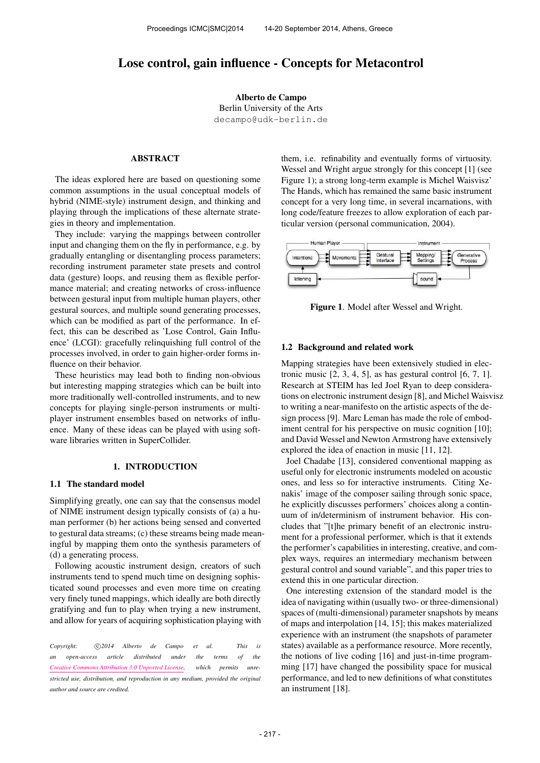# Lose control, gain influence - Concepts for Metacontrol

Alberto de Campo Berlin University of the Arts [decampo@udk-berlin.de](mailto:decampo@udk-berlin.de)

# ABSTRACT

The ideas explored here are based on questioning some common assumptions in the usual conceptual models of hybrid (NIME-style) instrument design, and thinking and playing through the implications of these alternate strategies in theory and implementation.

They include: varying the mappings between controller input and changing them on the fly in performance, e.g. by gradually entangling or disentangling process parameters; recording instrument parameter state presets and control data (gesture) loops, and reusing them as flexible performance material; and creating networks of cross-influence between gestural input from multiple human players, other gestural sources, and multiple sound generating processes, which can be modified as part of the performance. In effect, this can be described as 'Lose Control, Gain Influence' (LCGI): gracefully relinquishing full control of the processes involved, in order to gain higher-order forms influence on their behavior.

These heuristics may lead both to finding non-obvious but interesting mapping strategies which can be built into more traditionally well-controlled instruments, and to new concepts for playing single-person instruments or multiplayer instrument ensembles based on networks of influence. Many of these ideas can be played with using software libraries written in SuperCollider.

### 1. INTRODUCTION

## 1.1 The standard model

Simplifying greatly, one can say that the consensus model of NIME instrument design typically consists of (a) a human performer (b) her actions being sensed and converted to gestural data streams; (c) these streams being made meaningful by mapping them onto the synthesis parameters of (d) a generating process.

Following acoustic instrument design, creators of such instruments tend to spend much time on designing sophisticated sound processes and even more time on creating very finely tuned mappings, which ideally are both directly gratifying and fun to play when trying a new instrument, and allow for years of acquiring sophistication playing with

Copyright:  $\bigcirc$  2014 Alberto de Campo et al. This is *an open-access article distributed under the terms of the [Creative Commons Attribution 3.0 Unported License,](http://creativecommons.org/licenses/by/3.0/) which permits unrestricted use, distribution, and reproduction in any medium, provided the original author and source are credited.*

them, i.e. refinability and eventually forms of virtuosity. Wessel and Wright argue strongly for this concept [1] (see Figure 1); a strong long-term example is Michel Waisvisz' The Hands, which has remained the same basic instrument concept for a very long time, in several incarnations, with long code/feature freezes to allow exploration of each particular version (personal communication, 2004).



Figure 1. Model after Wessel and Wright.

#### 1.2 Background and related work

Mapping strategies have been extensively studied in electronic music  $[2, 3, 4, 5]$ , as has gestural control  $[6, 7, 1]$ . Research at STEIM has led Joel Ryan to deep considerations on electronic instrument design [8], and Michel Waisvisz to writing a near-manifesto on the artistic aspects of the design process [9]. Marc Leman has made the role of embodiment central for his perspective on music cognition [10]; and David Wessel and Newton Armstrong have extensively explored the idea of enaction in music [11, 12].

Joel Chadabe [13], considered conventional mapping as useful only for electronic instruments modeled on acoustic ones, and less so for interactive instruments. Citing Xenakis' image of the composer sailing through sonic space, he explicitly discusses performers' choices along a continuum of in/determinism of instrument behavior. His concludes that "[t]he primary benefit of an electronic instrument for a professional performer, which is that it extends the performer's capabilities in interesting, creative, and complex ways, requires an intermediary mechanism between gestural control and sound variable", and this paper tries to extend this in one particular direction.

One interesting extension of the standard model is the idea of navigating within (usually two- or three-dimensional) spaces of (multi-dimensional) parameter snapshots by means of maps and interpolation [14, 15]; this makes materialized experience with an instrument (the snapshots of parameter states) available as a performance resource. More recently, the notions of live coding [16] and just-in-time programming [17] have changed the possibility space for musical performance, and led to new definitions of what constitutes an instrument [18].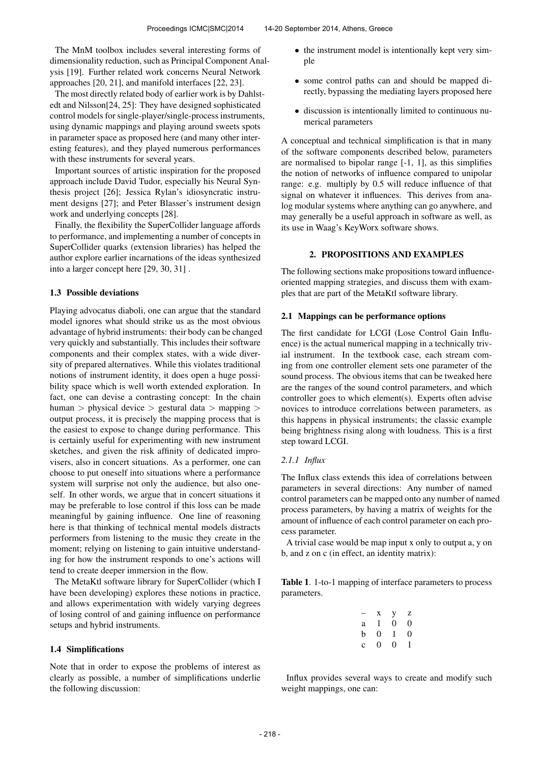The MnM toolbox includes several interesting forms of dimensionality reduction, such as Principal Component Analysis [19]. Further related work concerns Neural Network approaches [20, 21], and manifold interfaces [22, 23].

The most directly related body of earlier work is by Dahlstedt and Nilsson[24, 25]: They have designed sophisticated control models for single-player/single-process instruments, using dynamic mappings and playing around sweets spots in parameter space as proposed here (and many other interesting features), and they played numerous performances with these instruments for several years.

Important sources of artistic inspiration for the proposed approach include David Tudor, especially his Neural Synthesis project [26]; Jessica Rylan's idiosyncratic instrument designs [27]; and Peter Blasser's instrument design work and underlying concepts [28].

Finally, the flexibility the SuperCollider language affords to performance, and implementing a number of concepts in SuperCollider quarks (extension libraries) has helped the author explore earlier incarnations of the ideas synthesized into a larger concept here [29, 30, 31] .

## 1.3 Possible deviations

Playing advocatus diaboli, one can argue that the standard model ignores what should strike us as the most obvious advantage of hybrid instruments: their body can be changed very quickly and substantially. This includes their software components and their complex states, with a wide diversity of prepared alternatives. While this violates traditional notions of instrument identity, it does open a huge possibility space which is well worth extended exploration. In fact, one can devise a contrasting concept: In the chain human > physical device > gestural data > mapping > output process, it is precisely the mapping process that is the easiest to expose to change during performance. This is certainly useful for experimenting with new instrument sketches, and given the risk affinity of dedicated improvisers, also in concert situations. As a performer, one can choose to put oneself into situations where a performance system will surprise not only the audience, but also oneself. In other words, we argue that in concert situations it may be preferable to lose control if this loss can be made meaningful by gaining influence. One line of reasoning here is that thinking of technical mental models distracts performers from listening to the music they create in the moment; relying on listening to gain intuitive understanding for how the instrument responds to one's actions will tend to create deeper immersion in the flow.

The MetaKtl software library for SuperCollider (which I have been developing) explores these notions in practice, and allows experimentation with widely varying degrees of losing control of and gaining influence on performance setups and hybrid instruments.

# 1.4 Simplifications

Note that in order to expose the problems of interest as clearly as possible, a number of simplifications underlie the following discussion:

- the instrument model is intentionally kept very simple
- some control paths can and should be mapped directly, bypassing the mediating layers proposed here
- discussion is intentionally limited to continuous numerical parameters

A conceptual and technical simplification is that in many of the software components described below, parameters are normalised to bipolar range [-1, 1], as this simplifies the notion of networks of influence compared to unipolar range: e.g. multiply by 0.5 will reduce influence of that signal on whatever it influences. This derives from analog modular systems where anything can go anywhere, and may generally be a useful approach in software as well, as its use in Waag's KeyWorx software shows.

# 2. PROPOSITIONS AND EXAMPLES

The following sections make propositions toward influenceoriented mapping strategies, and discuss them with examples that are part of the MetaKtl software library.

#### 2.1 Mappings can be performance options

The first candidate for LCGI (Lose Control Gain Influence) is the actual numerical mapping in a technically trivial instrument. In the textbook case, each stream coming from one controller element sets one parameter of the sound process. The obvious items that can be tweaked here are the ranges of the sound control parameters, and which controller goes to which element(s). Experts often advise novices to introduce correlations between parameters, as this happens in physical instruments; the classic example being brightness rising along with loudness. This is a first step toward LCGI.

# *2.1.1 Influx*

The Influx class extends this idea of correlations between parameters in several directions: Any number of named control parameters can be mapped onto any number of named process parameters, by having a matrix of weights for the amount of influence of each control parameter on each process parameter.

A trivial case would be map input x only to output a, y on b, and z on c (in effect, an identity matrix):

Table 1. 1-to-1 mapping of interface parameters to process parameters.

| - | X        | у | Z |
|---|----------|---|---|
| a | 1        | 0 | 0 |
| b | $\theta$ | 1 | 0 |
| c | 0        | 0 | 1 |

Influx provides several ways to create and modify such weight mappings, one can: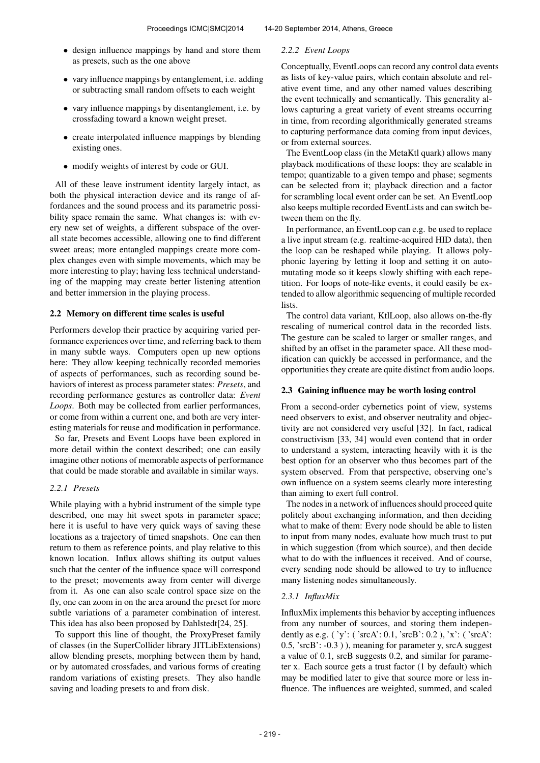- design influence mappings by hand and store them as presets, such as the one above
- vary influence mappings by entanglement, i.e. adding or subtracting small random offsets to each weight
- vary influence mappings by disentanglement, i.e. by crossfading toward a known weight preset.
- create interpolated influence mappings by blending existing ones.
- modify weights of interest by code or GUI.

All of these leave instrument identity largely intact, as both the physical interaction device and its range of affordances and the sound process and its parametric possibility space remain the same. What changes is: with every new set of weights, a different subspace of the overall state becomes accessible, allowing one to find different sweet areas; more entangled mappings create more complex changes even with simple movements, which may be more interesting to play; having less technical understanding of the mapping may create better listening attention and better immersion in the playing process.

# 2.2 Memory on different time scales is useful

Performers develop their practice by acquiring varied performance experiences over time, and referring back to them in many subtle ways. Computers open up new options here: They allow keeping technically recorded memories of aspects of performances, such as recording sound behaviors of interest as process parameter states: *Presets*, and recording performance gestures as controller data: *Event Loops*. Both may be collected from earlier performances, or come from within a current one, and both are very interesting materials for reuse and modification in performance.

So far, Presets and Event Loops have been explored in more detail within the context described; one can easily imagine other notions of memorable aspects of performance that could be made storable and available in similar ways.

#### *2.2.1 Presets*

While playing with a hybrid instrument of the simple type described, one may hit sweet spots in parameter space; here it is useful to have very quick ways of saving these locations as a trajectory of timed snapshots. One can then return to them as reference points, and play relative to this known location. Influx allows shifting its output values such that the center of the influence space will correspond to the preset; movements away from center will diverge from it. As one can also scale control space size on the fly, one can zoom in on the area around the preset for more subtle variations of a parameter combination of interest. This idea has also been proposed by Dahlstedt[24, 25].

To support this line of thought, the ProxyPreset family of classes (in the SuperCollider library JITLibExtensions) allow blending presets, morphing between them by hand, or by automated crossfades, and various forms of creating random variations of existing presets. They also handle saving and loading presets to and from disk.

#### *2.2.2 Event Loops*

Conceptually, EventLoops can record any control data events as lists of key-value pairs, which contain absolute and relative event time, and any other named values describing the event technically and semantically. This generality allows capturing a great variety of event streams occurring in time, from recording algorithmically generated streams to capturing performance data coming from input devices, or from external sources.

The EventLoop class (in the MetaKtl quark) allows many playback modifications of these loops: they are scalable in tempo; quantizable to a given tempo and phase; segments can be selected from it; playback direction and a factor for scrambling local event order can be set. An EventLoop also keeps multiple recorded EventLists and can switch between them on the fly.

In performance, an EventLoop can e.g. be used to replace a live input stream (e.g. realtime-acquired HID data), then the loop can be reshaped while playing. It allows polyphonic layering by letting it loop and setting it on automutating mode so it keeps slowly shifting with each repetition. For loops of note-like events, it could easily be extended to allow algorithmic sequencing of multiple recorded lists.

The control data variant, KtlLoop, also allows on-the-fly rescaling of numerical control data in the recorded lists. The gesture can be scaled to larger or smaller ranges, and shifted by an offset in the parameter space. All these modification can quickly be accessed in performance, and the opportunities they create are quite distinct from audio loops.

#### 2.3 Gaining influence may be worth losing control

From a second-order cybernetics point of view, systems need observers to exist, and observer neutrality and objectivity are not considered very useful [32]. In fact, radical constructivism [33, 34] would even contend that in order to understand a system, interacting heavily with it is the best option for an observer who thus becomes part of the system observed. From that perspective, observing one's own influence on a system seems clearly more interesting than aiming to exert full control.

The nodes in a network of influences should proceed quite politely about exchanging information, and then deciding what to make of them: Every node should be able to listen to input from many nodes, evaluate how much trust to put in which suggestion (from which source), and then decide what to do with the influences it received. And of course, every sending node should be allowed to try to influence many listening nodes simultaneously.

#### *2.3.1 InfluxMix*

InfluxMix implements this behavior by accepting influences from any number of sources, and storing them independently as e.g. ( 'y': ( 'srcA': 0.1, 'srcB': 0.2 ), 'x': ( 'srcA': 0.5, 'srcB': -0.3 ) ), meaning for parameter y, srcA suggest a value of 0.1, srcB suggests 0.2, and similar for parameter x. Each source gets a trust factor (1 by default) which may be modified later to give that source more or less influence. The influences are weighted, summed, and scaled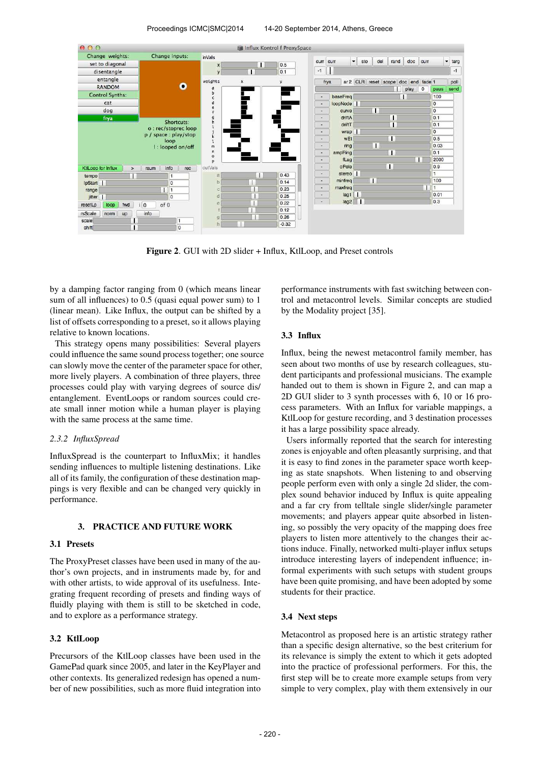

Figure 2. GUI with 2D slider + Influx, KtlLoop, and Preset controls

by a damping factor ranging from 0 (which means linear sum of all influences) to 0.5 (quasi equal power sum) to 1 (linear mean). Like Influx, the output can be shifted by a list of offsets corresponding to a preset, so it allows playing relative to known locations.

This strategy opens many possibilities: Several players could influence the same sound process together; one source can slowly move the center of the parameter space for other, more lively players. A combination of three players, three processes could play with varying degrees of source dis/ entanglement. EventLoops or random sources could create small inner motion while a human player is playing with the same process at the same time.

#### *2.3.2 InfluxSpread*

InfluxSpread is the counterpart to InfluxMix; it handles sending influences to multiple listening destinations. Like all of its family, the configuration of these destination mappings is very flexible and can be changed very quickly in performance.

#### 3. PRACTICE AND FUTURE WORK

#### 3.1 Presets

The ProxyPreset classes have been used in many of the author's own projects, and in instruments made by, for and with other artists, to wide approval of its usefulness. Integrating frequent recording of presets and finding ways of fluidly playing with them is still to be sketched in code, and to explore as a performance strategy.

# 3.2 KtlLoop

Precursors of the KtlLoop classes have been used in the GamePad quark since 2005, and later in the KeyPlayer and other contexts. Its generalized redesign has opened a number of new possibilities, such as more fluid integration into performance instruments with fast switching between control and metacontrol levels. Similar concepts are studied by the Modality project [35].

#### 3.3 Influx

Influx, being the newest metacontrol family member, has seen about two months of use by research colleagues, student participants and professional musicians. The example handed out to them is shown in Figure 2, and can map a 2D GUI slider to 3 synth processes with 6, 10 or 16 process parameters. With an Influx for variable mappings, a KtlLoop for gesture recording, and 3 destination processes it has a large possibility space already.

Users informally reported that the search for interesting zones is enjoyable and often pleasantly surprising, and that it is easy to find zones in the parameter space worth keeping as state snapshots. When listening to and observing people perform even with only a single 2d slider, the complex sound behavior induced by Influx is quite appealing and a far cry from telltale single slider/single parameter movements; and players appear quite absorbed in listening, so possibly the very opacity of the mapping does free players to listen more attentively to the changes their actions induce. Finally, networked multi-player influx setups introduce interesting layers of independent influence; informal experiments with such setups with student groups have been quite promising, and have been adopted by some students for their practice.

#### 3.4 Next steps

Metacontrol as proposed here is an artistic strategy rather than a specific design alternative, so the best criterium for its relevance is simply the extent to which it gets adopted into the practice of professional performers. For this, the first step will be to create more example setups from very simple to very complex, play with them extensively in our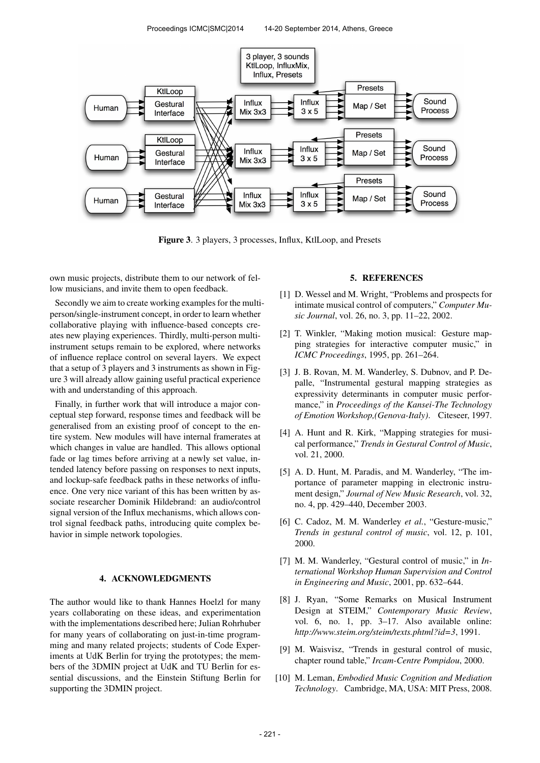

Figure 3. 3 players, 3 processes, Influx, KtlLoop, and Presets

own music projects, distribute them to our network of fellow musicians, and invite them to open feedback.

Secondly we aim to create working examples for the multiperson/single-instrument concept, in order to learn whether collaborative playing with influence-based concepts creates new playing experiences. Thirdly, multi-person multiinstrument setups remain to be explored, where networks of influence replace control on several layers. We expect that a setup of 3 players and 3 instruments as shown in Figure 3 will already allow gaining useful practical experience with and understanding of this approach.

Finally, in further work that will introduce a major conceptual step forward, response times and feedback will be generalised from an existing proof of concept to the entire system. New modules will have internal framerates at which changes in value are handled. This allows optional fade or lag times before arriving at a newly set value, intended latency before passing on responses to next inputs, and lockup-safe feedback paths in these networks of influence. One very nice variant of this has been written by associate researcher Dominik Hildebrand: an audio/control signal version of the Influx mechanisms, which allows control signal feedback paths, introducing quite complex behavior in simple network topologies.

#### 4. ACKNOWLEDGMENTS

The author would like to thank Hannes Hoelzl for many years collaborating on these ideas, and experimentation with the implementations described here; Julian Rohrhuber for many years of collaborating on just-in-time programming and many related projects; students of Code Experiments at UdK Berlin for trying the prototypes; the members of the 3DMIN project at UdK and TU Berlin for essential discussions, and the Einstein Stiftung Berlin for supporting the 3DMIN project.

#### 5. REFERENCES

- [1] D. Wessel and M. Wright, "Problems and prospects for intimate musical control of computers," *Computer Music Journal*, vol. 26, no. 3, pp. 11–22, 2002.
- [2] T. Winkler, "Making motion musical: Gesture mapping strategies for interactive computer music," in *ICMC Proceedings*, 1995, pp. 261–264.
- [3] J. B. Rovan, M. M. Wanderley, S. Dubnov, and P. Depalle, "Instrumental gestural mapping strategies as expressivity determinants in computer music performance," in *Proceedings of the Kansei-The Technology of Emotion Workshop,(Genova-Italy)*. Citeseer, 1997.
- [4] A. Hunt and R. Kirk, "Mapping strategies for musical performance," *Trends in Gestural Control of Music*, vol. 21, 2000.
- [5] A. D. Hunt, M. Paradis, and M. Wanderley, "The importance of parameter mapping in electronic instrument design," *Journal of New Music Research*, vol. 32, no. 4, pp. 429–440, December 2003.
- [6] C. Cadoz, M. M. Wanderley *et al.*, "Gesture-music," *Trends in gestural control of music*, vol. 12, p. 101, 2000.
- [7] M. M. Wanderley, "Gestural control of music," in *International Workshop Human Supervision and Control in Engineering and Music*, 2001, pp. 632–644.
- [8] J. Ryan, "Some Remarks on Musical Instrument Design at STEIM," *Contemporary Music Review*, vol. 6, no. 1, pp. 3–17. Also available online: *http://www.steim.org/steim/texts.phtml?id=3*, 1991.
- [9] M. Waisvisz, "Trends in gestural control of music, chapter round table," *Ircam-Centre Pompidou*, 2000.
- [10] M. Leman, *Embodied Music Cognition and Mediation Technology*. Cambridge, MA, USA: MIT Press, 2008.